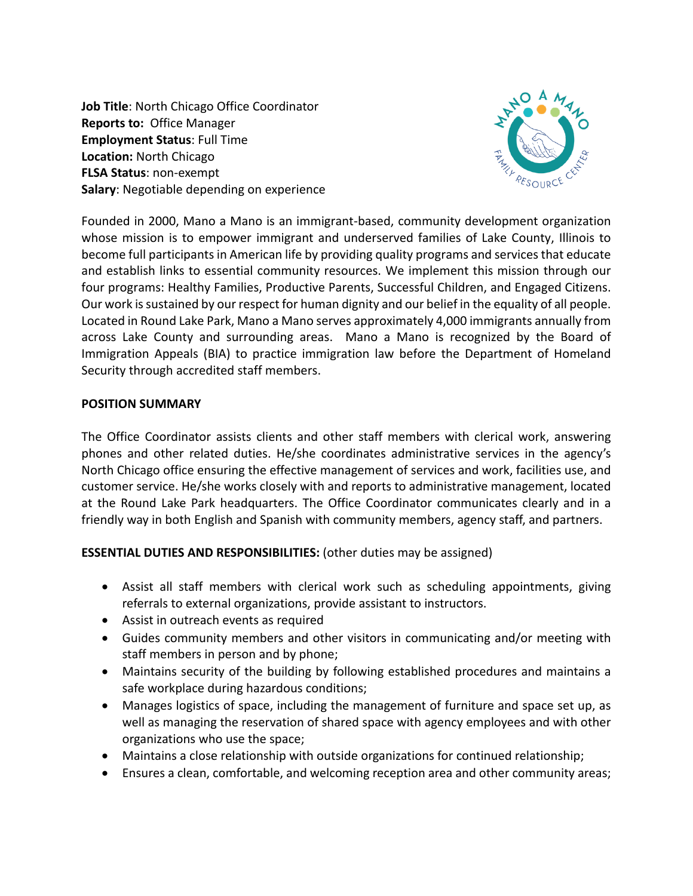**Job Title**: North Chicago Office Coordinator **Reports to:** Office Manager **Employment Status**: Full Time **Location:** North Chicago **FLSA Status**: non-exempt **Salary**: Negotiable depending on experience



Founded in 2000, Mano a Mano is an immigrant-based, community development organization whose mission is to empower immigrant and underserved families of Lake County, Illinois to become full participants in American life by providing quality programs and services that educate and establish links to essential community resources. We implement this mission through our four programs: Healthy Families, Productive Parents, Successful Children, and Engaged Citizens. Our work is sustained by our respect for human dignity and our belief in the equality of all people. Located in Round Lake Park, Mano a Mano serves approximately 4,000 immigrants annually from across Lake County and surrounding areas. Mano a Mano is recognized by the Board of Immigration Appeals (BIA) to practice immigration law before the Department of Homeland Security through accredited staff members.

## **POSITION SUMMARY**

The Office Coordinator assists clients and other staff members with clerical work, answering phones and other related duties. He/she coordinates administrative services in the agency's North Chicago office ensuring the effective management of services and work, facilities use, and customer service. He/she works closely with and reports to administrative management, located at the Round Lake Park headquarters. The Office Coordinator communicates clearly and in a friendly way in both English and Spanish with community members, agency staff, and partners.

**ESSENTIAL DUTIES AND RESPONSIBILITIES:** (other duties may be assigned)

- Assist all staff members with clerical work such as scheduling appointments, giving referrals to external organizations, provide assistant to instructors.
- Assist in outreach events as required
- Guides community members and other visitors in communicating and/or meeting with staff members in person and by phone;
- Maintains security of the building by following established procedures and maintains a safe workplace during hazardous conditions;
- Manages logistics of space, including the management of furniture and space set up, as well as managing the reservation of shared space with agency employees and with other organizations who use the space;
- Maintains a close relationship with outside organizations for continued relationship;
- Ensures a clean, comfortable, and welcoming reception area and other community areas;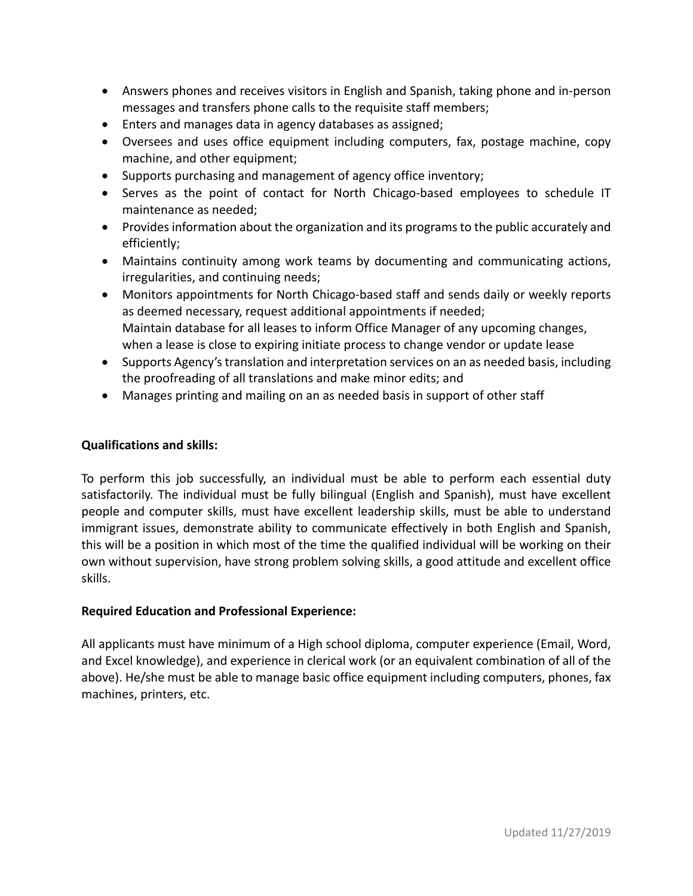- Answers phones and receives visitors in English and Spanish, taking phone and in-person messages and transfers phone calls to the requisite staff members;
- Enters and manages data in agency databases as assigned;
- Oversees and uses office equipment including computers, fax, postage machine, copy machine, and other equipment;
- Supports purchasing and management of agency office inventory;
- Serves as the point of contact for North Chicago-based employees to schedule IT maintenance as needed;
- Provides information about the organization and its programs to the public accurately and efficiently;
- Maintains continuity among work teams by documenting and communicating actions, irregularities, and continuing needs;
- Monitors appointments for North Chicago-based staff and sends daily or weekly reports as deemed necessary, request additional appointments if needed; Maintain database for all leases to inform Office Manager of any upcoming changes, when a lease is close to expiring initiate process to change vendor or update lease
- Supports Agency's translation and interpretation services on an as needed basis, including the proofreading of all translations and make minor edits; and
- Manages printing and mailing on an as needed basis in support of other staff

## **Qualifications and skills:**

To perform this job successfully, an individual must be able to perform each essential duty satisfactorily. The individual must be fully bilingual (English and Spanish), must have excellent people and computer skills, must have excellent leadership skills, must be able to understand immigrant issues, demonstrate ability to communicate effectively in both English and Spanish, this will be a position in which most of the time the qualified individual will be working on their own without supervision, have strong problem solving skills, a good attitude and excellent office skills.

## **Required Education and Professional Experience:**

All applicants must have minimum of a High school diploma, computer experience (Email, Word, and Excel knowledge), and experience in clerical work (or an equivalent combination of all of the above). He/she must be able to manage basic office equipment including computers, phones, fax machines, printers, etc.